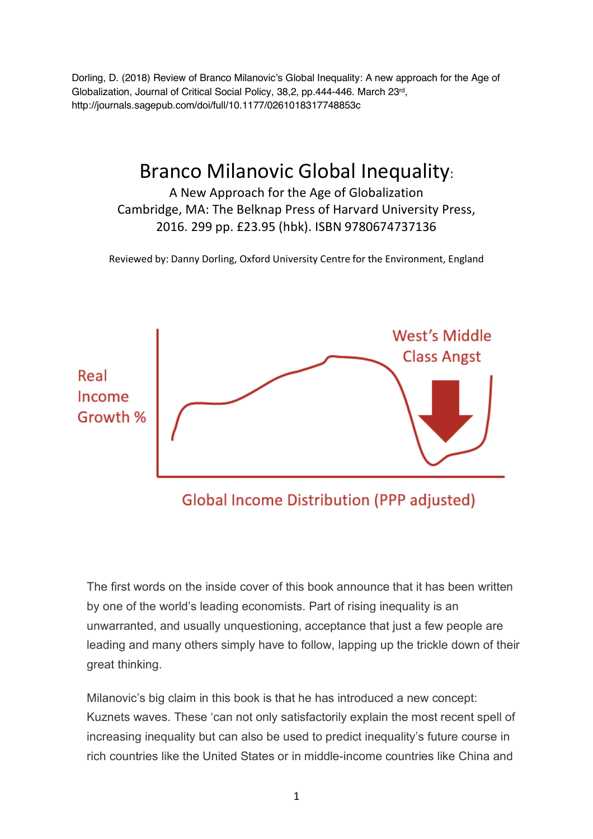Dorling, D. (2018) Review of Branco Milanovic's Global Inequality: A new approach for the Age of Globalization, Journal of Critical Social Policy, 38,2, pp.444-446. March 23rd, http://journals.sagepub.com/doi/full/10.1177/0261018317748853c

## Branco Milanovic Global Inequality:

A New Approach for the Age of Globalization Cambridge, MA: The Belknap Press of Harvard University Press, 2016. 299 pp. £23.95 (hbk). ISBN 9780674737136

Reviewed by: Danny Dorling, Oxford University Centre for the Environment, England



**Global Income Distribution (PPP adjusted)** 

The first words on the inside cover of this book announce that it has been written by one of the world's leading economists. Part of rising inequality is an unwarranted, and usually unquestioning, acceptance that just a few people are leading and many others simply have to follow, lapping up the trickle down of their great thinking.

Milanovic's big claim in this book is that he has introduced a new concept: Kuznets waves. These 'can not only satisfactorily explain the most recent spell of increasing inequality but can also be used to predict inequality's future course in rich countries like the United States or in middle-income countries like China and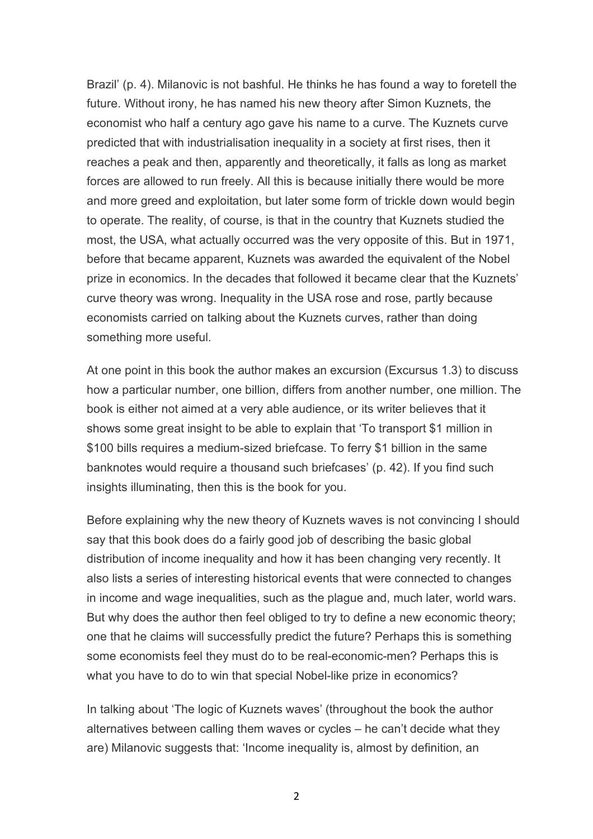Brazil' (p. 4). Milanovic is not bashful. He thinks he has found a way to foretell the future. Without irony, he has named his new theory after Simon Kuznets, the economist who half a century ago gave his name to a curve. The Kuznets curve predicted that with industrialisation inequality in a society at first rises, then it reaches a peak and then, apparently and theoretically, it falls as long as market forces are allowed to run freely. All this is because initially there would be more and more greed and exploitation, but later some form of trickle down would begin to operate. The reality, of course, is that in the country that Kuznets studied the most, the USA, what actually occurred was the very opposite of this. But in 1971, before that became apparent, Kuznets was awarded the equivalent of the Nobel prize in economics. In the decades that followed it became clear that the Kuznets' curve theory was wrong. Inequality in the USA rose and rose, partly because economists carried on talking about the Kuznets curves, rather than doing something more useful.

At one point in this book the author makes an excursion (Excursus 1.3) to discuss how a particular number, one billion, differs from another number, one million. The book is either not aimed at a very able audience, or its writer believes that it shows some great insight to be able to explain that 'To transport \$1 million in \$100 bills requires a medium-sized briefcase. To ferry \$1 billion in the same banknotes would require a thousand such briefcases' (p. 42). If you find such insights illuminating, then this is the book for you.

Before explaining why the new theory of Kuznets waves is not convincing I should say that this book does do a fairly good job of describing the basic global distribution of income inequality and how it has been changing very recently. It also lists a series of interesting historical events that were connected to changes in income and wage inequalities, such as the plague and, much later, world wars. But why does the author then feel obliged to try to define a new economic theory; one that he claims will successfully predict the future? Perhaps this is something some economists feel they must do to be real-economic-men? Perhaps this is what you have to do to win that special Nobel-like prize in economics?

In talking about 'The logic of Kuznets waves' (throughout the book the author alternatives between calling them waves or cycles – he can't decide what they are) Milanovic suggests that: 'Income inequality is, almost by definition, an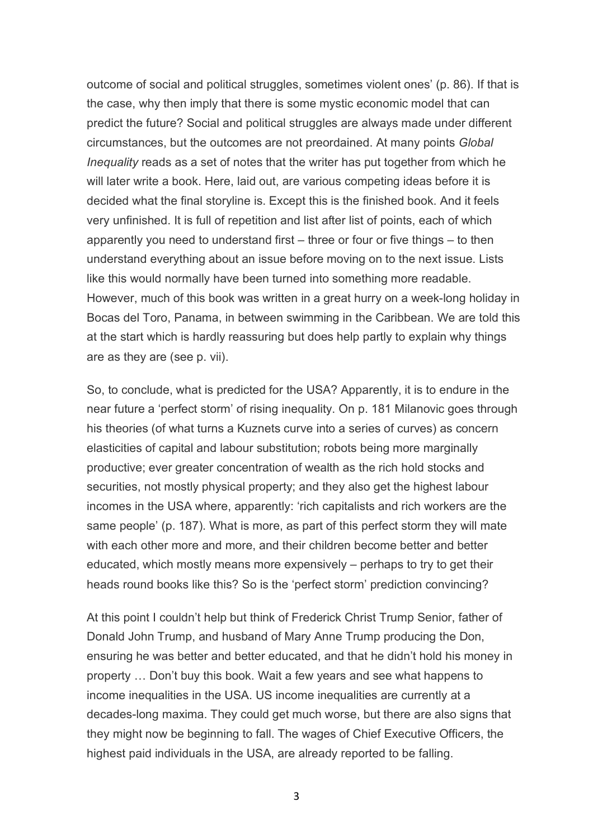outcome of social and political struggles, sometimes violent ones' (p. 86). If that is the case, why then imply that there is some mystic economic model that can predict the future? Social and political struggles are always made under different circumstances, but the outcomes are not preordained. At many points *Global Inequality* reads as a set of notes that the writer has put together from which he will later write a book. Here, laid out, are various competing ideas before it is decided what the final storyline is. Except this is the finished book. And it feels very unfinished. It is full of repetition and list after list of points, each of which apparently you need to understand first – three or four or five things – to then understand everything about an issue before moving on to the next issue. Lists like this would normally have been turned into something more readable. However, much of this book was written in a great hurry on a week-long holiday in Bocas del Toro, Panama, in between swimming in the Caribbean. We are told this at the start which is hardly reassuring but does help partly to explain why things are as they are (see p. vii).

So, to conclude, what is predicted for the USA? Apparently, it is to endure in the near future a 'perfect storm' of rising inequality. On p. 181 Milanovic goes through his theories (of what turns a Kuznets curve into a series of curves) as concern elasticities of capital and labour substitution; robots being more marginally productive; ever greater concentration of wealth as the rich hold stocks and securities, not mostly physical property; and they also get the highest labour incomes in the USA where, apparently: 'rich capitalists and rich workers are the same people' (p. 187). What is more, as part of this perfect storm they will mate with each other more and more, and their children become better and better educated, which mostly means more expensively – perhaps to try to get their heads round books like this? So is the 'perfect storm' prediction convincing?

At this point I couldn't help but think of Frederick Christ Trump Senior, father of Donald John Trump, and husband of Mary Anne Trump producing the Don, ensuring he was better and better educated, and that he didn't hold his money in property … Don't buy this book. Wait a few years and see what happens to income inequalities in the USA. US income inequalities are currently at a decades-long maxima. They could get much worse, but there are also signs that they might now be beginning to fall. The wages of Chief Executive Officers, the highest paid individuals in the USA, are already reported to be falling.

3